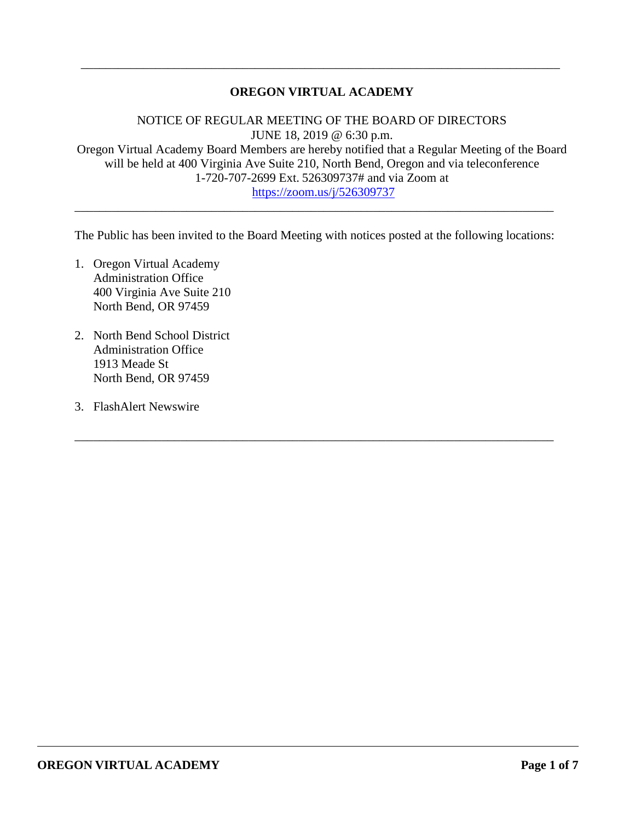## **OREGON VIRTUAL ACADEMY**

\_\_\_\_\_\_\_\_\_\_\_\_\_\_\_\_\_\_\_\_\_\_\_\_\_\_\_\_\_\_\_\_\_\_\_\_\_\_\_\_\_\_\_\_\_\_\_\_\_\_\_\_\_\_\_\_\_\_\_\_\_\_\_\_\_\_\_\_\_\_\_\_\_\_\_\_\_

NOTICE OF REGULAR MEETING OF THE BOARD OF DIRECTORS JUNE 18, 2019 @ 6:30 p.m. Oregon Virtual Academy Board Members are hereby notified that a Regular Meeting of the Board will be held at 400 Virginia Ave Suite 210, North Bend, Oregon and via teleconference 1-720-707-2699 Ext. 526309737# and via Zoom at <https://zoom.us/j/526309737>

The Public has been invited to the Board Meeting with notices posted at the following locations:

\_\_\_\_\_\_\_\_\_\_\_\_\_\_\_\_\_\_\_\_\_\_\_\_\_\_\_\_\_\_\_\_\_\_\_\_\_\_\_\_\_\_\_\_\_\_\_\_\_\_\_\_\_\_\_\_\_\_\_\_\_\_\_\_\_\_\_\_\_\_\_\_\_\_\_\_\_

\_\_\_\_\_\_\_\_\_\_\_\_\_\_\_\_\_\_\_\_\_\_\_\_\_\_\_\_\_\_\_\_\_\_\_\_\_\_\_\_\_\_\_\_\_\_\_\_\_\_\_\_\_\_\_\_\_\_\_\_\_\_\_\_\_\_\_\_\_\_\_\_\_\_\_\_\_

- 1. Oregon Virtual Academy Administration Office 400 Virginia Ave Suite 210 North Bend, OR 97459
- 2. North Bend School District Administration Office 1913 Meade St North Bend, OR 97459
- 3. FlashAlert Newswire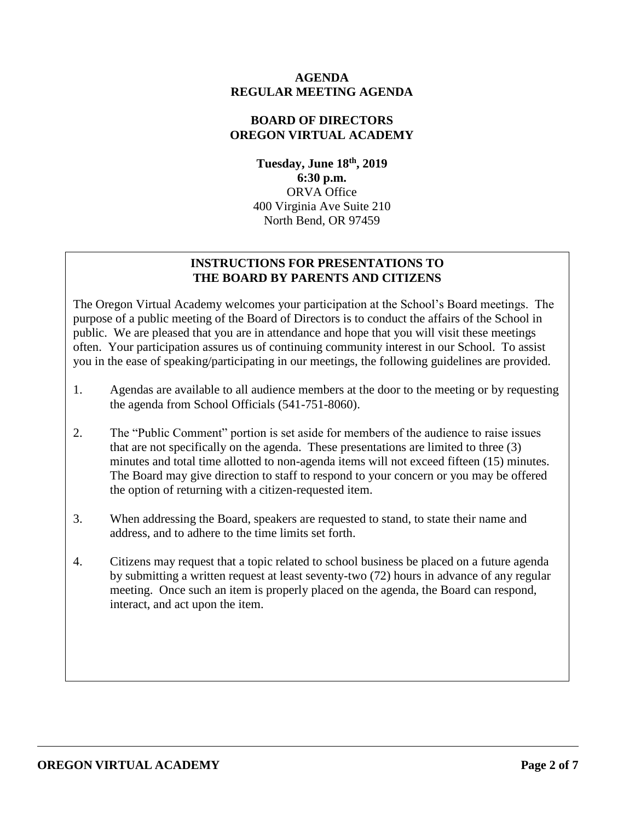### **AGENDA REGULAR MEETING AGENDA**

### **BOARD OF DIRECTORS OREGON VIRTUAL ACADEMY**

**Tuesday, June 18th , 2019 6:30 p.m.** ORVA Office 400 Virginia Ave Suite 210 North Bend, OR 97459

## **INSTRUCTIONS FOR PRESENTATIONS TO THE BOARD BY PARENTS AND CITIZENS**

The Oregon Virtual Academy welcomes your participation at the School's Board meetings. The purpose of a public meeting of the Board of Directors is to conduct the affairs of the School in public. We are pleased that you are in attendance and hope that you will visit these meetings often. Your participation assures us of continuing community interest in our School. To assist you in the ease of speaking/participating in our meetings, the following guidelines are provided.

- 1. Agendas are available to all audience members at the door to the meeting or by requesting the agenda from School Officials (541-751-8060).
- 2. The "Public Comment" portion is set aside for members of the audience to raise issues that are not specifically on the agenda. These presentations are limited to three (3) minutes and total time allotted to non-agenda items will not exceed fifteen (15) minutes. The Board may give direction to staff to respond to your concern or you may be offered the option of returning with a citizen-requested item.
- 3. When addressing the Board, speakers are requested to stand, to state their name and address, and to adhere to the time limits set forth.
- 4. Citizens may request that a topic related to school business be placed on a future agenda by submitting a written request at least seventy-two (72) hours in advance of any regular meeting. Once such an item is properly placed on the agenda, the Board can respond, interact, and act upon the item.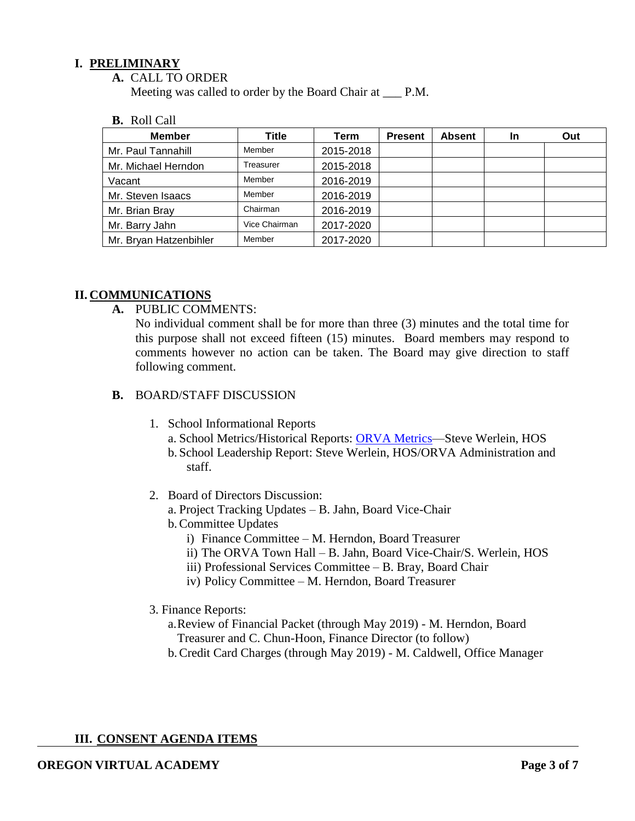### **I. PRELIMINARY**

**A.** CALL TO ORDER

Meeting was called to order by the Board Chair at  $\quad$  P.M.

**B.** Roll Call

| <b>Member</b>          | Title         | Term      | <b>Present</b> | <b>Absent</b> | <b>In</b> | Out |
|------------------------|---------------|-----------|----------------|---------------|-----------|-----|
| Mr. Paul Tannahill     | Member        | 2015-2018 |                |               |           |     |
| Mr. Michael Herndon    | Treasurer     | 2015-2018 |                |               |           |     |
| Vacant                 | Member        | 2016-2019 |                |               |           |     |
| Mr. Steven Isaacs      | Member        | 2016-2019 |                |               |           |     |
| Mr. Brian Bray         | Chairman      | 2016-2019 |                |               |           |     |
| Mr. Barry Jahn         | Vice Chairman | 2017-2020 |                |               |           |     |
| Mr. Bryan Hatzenbihler | Member        | 2017-2020 |                |               |           |     |

### **II. COMMUNICATIONS**

**A.** PUBLIC COMMENTS:

No individual comment shall be for more than three (3) minutes and the total time for this purpose shall not exceed fifteen (15) minutes. Board members may respond to comments however no action can be taken. The Board may give direction to staff following comment.

- **B.** BOARD/STAFF DISCUSSION
	- 1. School Informational Reports
		- a. School Metrics/Historical Reports: ORVA Metrics-Steve Werlein, HOS
		- b. School Leadership Report: Steve Werlein, HOS/ORVA Administration and staff.
	- 2. Board of Directors Discussion:
		- a. Project Tracking Updates B. Jahn, Board Vice-Chair
		- b.Committee Updates
			- i) Finance Committee M. Herndon, Board Treasurer
			- ii) The ORVA Town Hall B. Jahn, Board Vice-Chair/S. Werlein, HOS
			- iii) Professional Services Committee B. Bray, Board Chair
			- iv) Policy Committee M. Herndon, Board Treasurer
	- 3. Finance Reports:
		- a.Review of Financial Packet (through May 2019) M. Herndon, Board Treasurer and C. Chun-Hoon, Finance Director (to follow)
		- b.Credit Card Charges (through May 2019) M. Caldwell, Office Manager

## **III. CONSENT AGENDA ITEMS**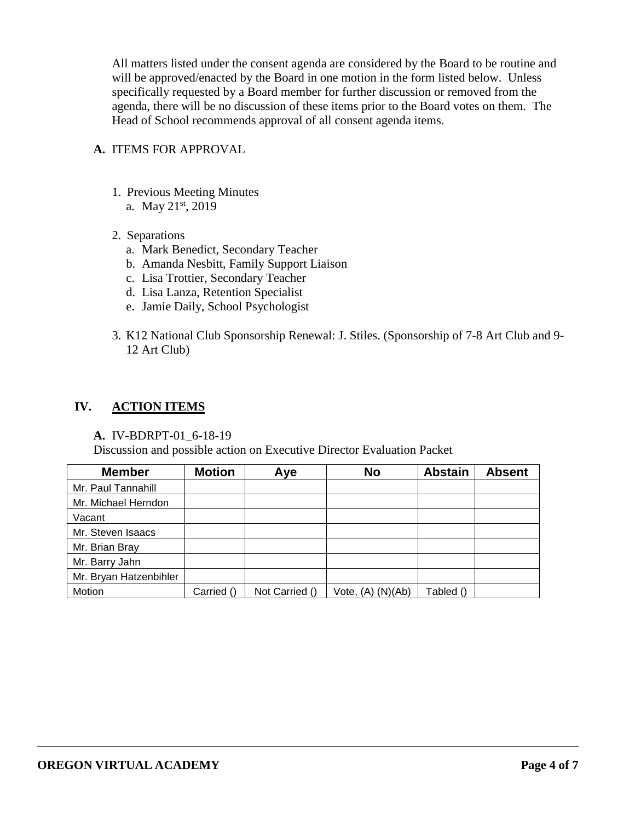All matters listed under the consent agenda are considered by the Board to be routine and will be approved/enacted by the Board in one motion in the form listed below. Unless specifically requested by a Board member for further discussion or removed from the agenda, there will be no discussion of these items prior to the Board votes on them. The Head of School recommends approval of all consent agenda items.

### **A.** ITEMS FOR APPROVAL

- 1. Previous Meeting Minutes
	- a. May 21<sup>st</sup>, 2019
- 2. Separations
	- a. Mark Benedict, Secondary Teacher
	- b. Amanda Nesbitt, Family Support Liaison
	- c. Lisa Trottier, Secondary Teacher
	- d. Lisa Lanza, Retention Specialist
	- e. Jamie Daily, School Psychologist
- 3. K12 National Club Sponsorship Renewal: J. Stiles. (Sponsorship of 7-8 Art Club and 9- 12 Art Club)

### **IV. ACTION ITEMS**

#### **A.** IV-BDRPT-01\_6-18-19

Discussion and possible action on Executive Director Evaluation Packet

| <b>Member</b>          | <b>Motion</b> | Aye            | <b>No</b>         | <b>Abstain</b> | <b>Absent</b> |
|------------------------|---------------|----------------|-------------------|----------------|---------------|
| Mr. Paul Tannahill     |               |                |                   |                |               |
| Mr. Michael Herndon    |               |                |                   |                |               |
| Vacant                 |               |                |                   |                |               |
| Mr. Steven Isaacs      |               |                |                   |                |               |
| Mr. Brian Bray         |               |                |                   |                |               |
| Mr. Barry Jahn         |               |                |                   |                |               |
| Mr. Bryan Hatzenbihler |               |                |                   |                |               |
| Motion                 | Carried ()    | Not Carried () | Vote, (A) (N)(Ab) | Tabled ()      |               |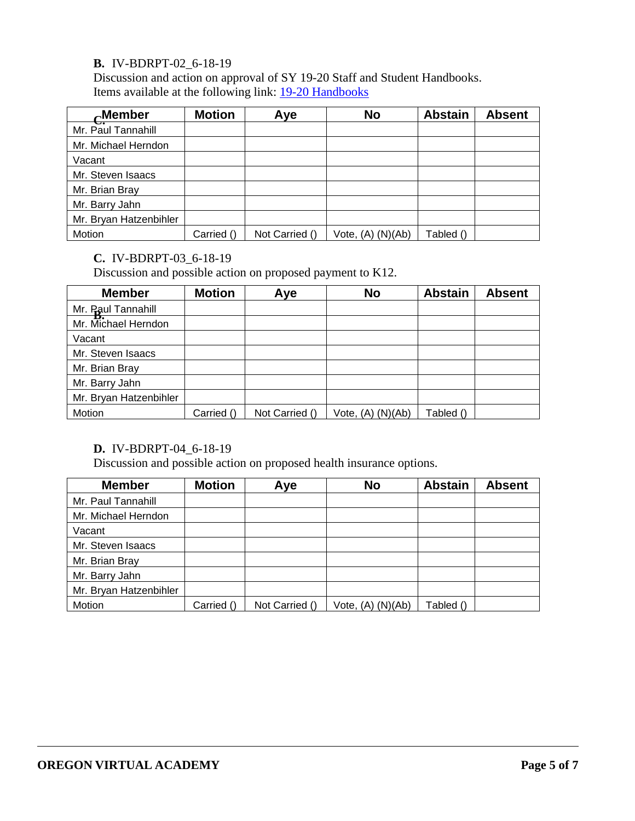## **B.** IV-BDRPT-02\_6-18-19

Discussion and action on approval of SY 19-20 Staff and Student Handbooks. Items available at the following link: [19-20 Handbooks](https://k12inc-my.sharepoint.com/:f:/g/personal/swerlein_k12_com/EmKVk_yV7ftMktXuZB8v3WsBYMrmQOCN03wOBlG4aq5wxw)

| $\sim$ Member          | <b>Motion</b> | Aye            | <b>No</b>             | <b>Abstain</b> | <b>Absent</b> |
|------------------------|---------------|----------------|-----------------------|----------------|---------------|
| Mr. Paul Tannahill     |               |                |                       |                |               |
| Mr. Michael Herndon    |               |                |                       |                |               |
| Vacant                 |               |                |                       |                |               |
| Mr. Steven Isaacs      |               |                |                       |                |               |
| Mr. Brian Bray         |               |                |                       |                |               |
| Mr. Barry Jahn         |               |                |                       |                |               |
| Mr. Bryan Hatzenbihler |               |                |                       |                |               |
| Motion                 | Carried ()    | Not Carried () | Vote, $(A)$ $(N)(Ab)$ | Tabled ()      |               |

# **C.** IV-BDRPT-03\_6-18-19

Discussion and possible action on proposed payment to K12.

| <b>Member</b>                             | <b>Motion</b> | Aye            | <b>No</b>             | <b>Abstain</b> | <b>Absent</b> |
|-------------------------------------------|---------------|----------------|-----------------------|----------------|---------------|
|                                           |               |                |                       |                |               |
| Mr. Paul Tannahill<br>Mr. Michael Herndon |               |                |                       |                |               |
| Vacant                                    |               |                |                       |                |               |
| Mr. Steven Isaacs                         |               |                |                       |                |               |
| Mr. Brian Bray                            |               |                |                       |                |               |
| Mr. Barry Jahn                            |               |                |                       |                |               |
| Mr. Bryan Hatzenbihler                    |               |                |                       |                |               |
| Motion                                    | Carried ()    | Not Carried () | Vote, $(A)$ $(N)(Ab)$ | Tabled ()      |               |

## **D.** IV-BDRPT-04\_6-18-19

Discussion and possible action on proposed health insurance options.

| <b>Member</b>          | <b>Motion</b> | Aye            | <b>No</b>         | <b>Abstain</b> | <b>Absent</b> |
|------------------------|---------------|----------------|-------------------|----------------|---------------|
| Mr. Paul Tannahill     |               |                |                   |                |               |
| Mr. Michael Herndon    |               |                |                   |                |               |
| Vacant                 |               |                |                   |                |               |
| Mr. Steven Isaacs      |               |                |                   |                |               |
| Mr. Brian Bray         |               |                |                   |                |               |
| Mr. Barry Jahn         |               |                |                   |                |               |
| Mr. Bryan Hatzenbihler |               |                |                   |                |               |
| Motion                 | Carried ()    | Not Carried () | Vote, (A) (N)(Ab) | Tabled ()      |               |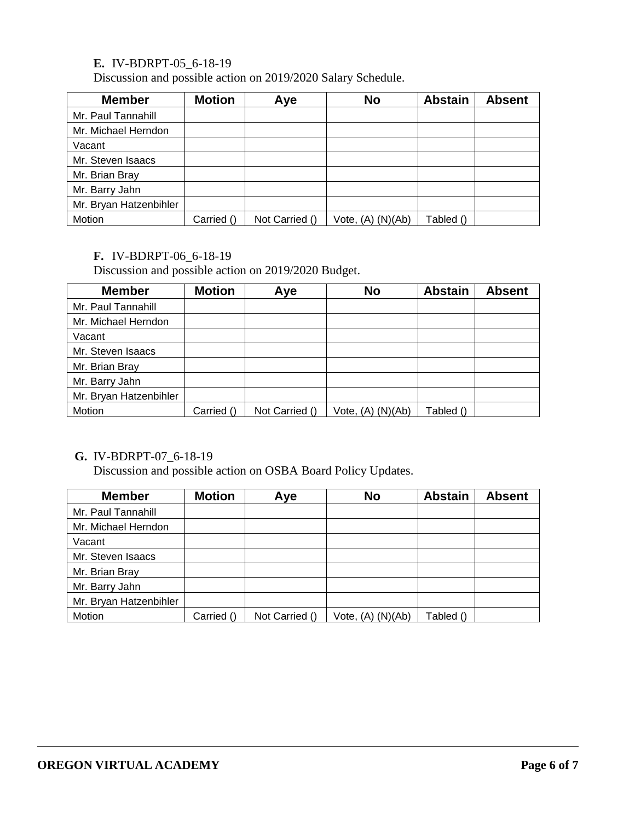## **E.** IV-BDRPT-05\_6-18-19

Discussion and possible action on 2019/2020 Salary Schedule.

| <b>Member</b>          | <b>Motion</b> | Aye            | <b>No</b>             | <b>Abstain</b> | <b>Absent</b> |
|------------------------|---------------|----------------|-----------------------|----------------|---------------|
| Mr. Paul Tannahill     |               |                |                       |                |               |
| Mr. Michael Herndon    |               |                |                       |                |               |
| Vacant                 |               |                |                       |                |               |
| Mr. Steven Isaacs      |               |                |                       |                |               |
| Mr. Brian Bray         |               |                |                       |                |               |
| Mr. Barry Jahn         |               |                |                       |                |               |
| Mr. Bryan Hatzenbihler |               |                |                       |                |               |
| Motion                 | Carried ()    | Not Carried () | Vote, $(A)$ $(N)(Ab)$ | Tabled ()      |               |

### **F.** IV-BDRPT-06\_6-18-19

Discussion and possible action on 2019/2020 Budget.

| <b>Member</b>          | <b>Motion</b> | Aye            | <b>No</b>             | <b>Abstain</b> | <b>Absent</b> |
|------------------------|---------------|----------------|-----------------------|----------------|---------------|
| Mr. Paul Tannahill     |               |                |                       |                |               |
| Mr. Michael Herndon    |               |                |                       |                |               |
| Vacant                 |               |                |                       |                |               |
| Mr. Steven Isaacs      |               |                |                       |                |               |
| Mr. Brian Bray         |               |                |                       |                |               |
| Mr. Barry Jahn         |               |                |                       |                |               |
| Mr. Bryan Hatzenbihler |               |                |                       |                |               |
| Motion                 | Carried ()    | Not Carried () | Vote, $(A)$ $(N)(Ab)$ | Tabled ()      |               |

## **G.** IV-BDRPT-07\_6-18-19

Discussion and possible action on OSBA Board Policy Updates.

| <b>Member</b>          | <b>Motion</b> | Aye            | <b>No</b>         | <b>Abstain</b> | <b>Absent</b> |
|------------------------|---------------|----------------|-------------------|----------------|---------------|
| Mr. Paul Tannahill     |               |                |                   |                |               |
| Mr. Michael Herndon    |               |                |                   |                |               |
| Vacant                 |               |                |                   |                |               |
| Mr. Steven Isaacs      |               |                |                   |                |               |
| Mr. Brian Bray         |               |                |                   |                |               |
| Mr. Barry Jahn         |               |                |                   |                |               |
| Mr. Bryan Hatzenbihler |               |                |                   |                |               |
| Motion                 | Carried ()    | Not Carried () | Vote, (A) (N)(Ab) | Tabled ()      |               |